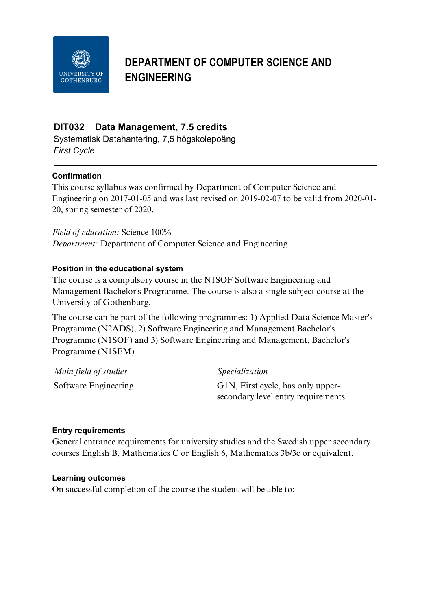

# **DEPARTMENT OF COMPUTER SCIENCE AND ENGINEERING**

## **DIT032 Data Management, 7.5 credits**

Systematisk Datahantering, 7,5 högskolepoäng *First Cycle*

## **Confirmation**

This course syllabus was confirmed by Department of Computer Science and Engineering on 2017-01-05 and was last revised on 2019-02-07 to be valid from 2020-01- 20, spring semester of 2020.

*Field of education:* Science 100% *Department:* Department of Computer Science and Engineering

#### **Position in the educational system**

The course is a compulsory course in the N1SOF Software Engineering and Management Bachelor's Programme. The course is also a single subject course at the University of Gothenburg.

The course can be part of the following programmes: 1) Applied Data Science Master's Programme (N2ADS), 2) Software Engineering and Management Bachelor's Programme (N1SOF) and 3) Software Engineering and Management, Bachelor's Programme (N1SEM)

| Main field of studies | <i>Specialization</i>              |
|-----------------------|------------------------------------|
| Software Engineering  | G1N, First cycle, has only upper-  |
|                       | secondary level entry requirements |

#### **Entry requirements**

General entrance requirements for university studies and the Swedish upper secondary courses English B, Mathematics C or English 6, Mathematics 3b/3c or equivalent.

#### **Learning outcomes**

On successful completion of the course the student will be able to: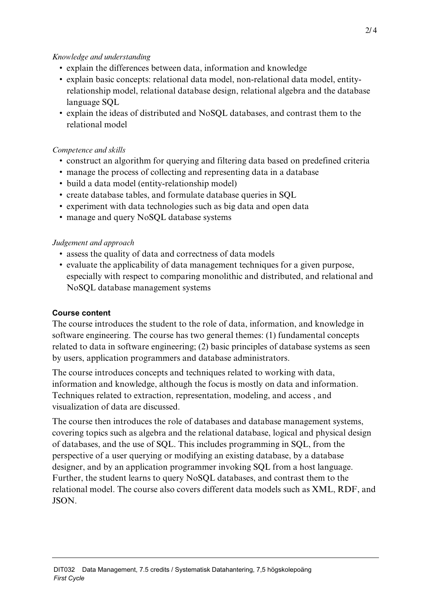## *Knowledge and understanding*

- explain the differences between data, information and knowledge
- explain basic concepts: relational data model, non-relational data model, entityrelationship model, relational database design, relational algebra and the database language SQL
- explain the ideas of distributed and NoSQL databases, and contrast them to the relational model

## *Competence and skills*

- construct an algorithm for querying and filtering data based on predefined criteria
- manage the process of collecting and representing data in a database
- build a data model (entity-relationship model)
- create database tables, and formulate database queries in SQL
- experiment with data technologies such as big data and open data
- manage and query NoSQL database systems

## *Judgement and approach*

- assess the quality of data and correctness of data models
- evaluate the applicability of data management techniques for a given purpose, especially with respect to comparing monolithic and distributed, and relational and NoSQL database management systems

## **Course content**

The course introduces the student to the role of data, information, and knowledge in software engineering. The course has two general themes: (1) fundamental concepts related to data in software engineering; (2) basic principles of database systems as seen by users, application programmers and database administrators.

The course introduces concepts and techniques related to working with data, information and knowledge, although the focus is mostly on data and information. Techniques related to extraction, representation, modeling, and access , and visualization of data are discussed.

The course then introduces the role of databases and database management systems, covering topics such as algebra and the relational database, logical and physical design of databases, and the use of SQL. This includes programming in SQL, from the perspective of a user querying or modifying an existing database, by a database designer, and by an application programmer invoking SQL from a host language. Further, the student learns to query NoSQL databases, and contrast them to the relational model. The course also covers different data models such as XML, RDF, and JSON.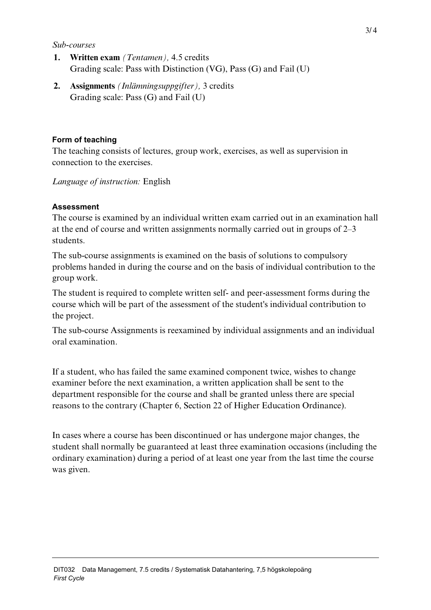#### *Sub-courses*

- **1. Written exam** *(Tentamen),* 4.5 credits Grading scale: Pass with Distinction (VG), Pass (G) and Fail (U)
- **2. Assignments** *(Inlämningsuppgifter),* 3 credits Grading scale: Pass (G) and Fail (U)

## **Form of teaching**

The teaching consists of lectures, group work, exercises, as well as supervision in connection to the exercises.

*Language of instruction:* English

## **Assessment**

The course is examined by an individual written exam carried out in an examination hall at the end of course and written assignments normally carried out in groups of 2–3 students.

The sub-course assignments is examined on the basis of solutions to compulsory problems handed in during the course and on the basis of individual contribution to the group work.

The student is required to complete written self- and peer-assessment forms during the course which will be part of the assessment of the student's individual contribution to the project.

The sub-course Assignments is reexamined by individual assignments and an individual oral examination.

If a student, who has failed the same examined component twice, wishes to change examiner before the next examination, a written application shall be sent to the department responsible for the course and shall be granted unless there are special reasons to the contrary (Chapter 6, Section 22 of Higher Education Ordinance).

In cases where a course has been discontinued or has undergone major changes, the student shall normally be guaranteed at least three examination occasions (including the ordinary examination) during a period of at least one year from the last time the course was given.